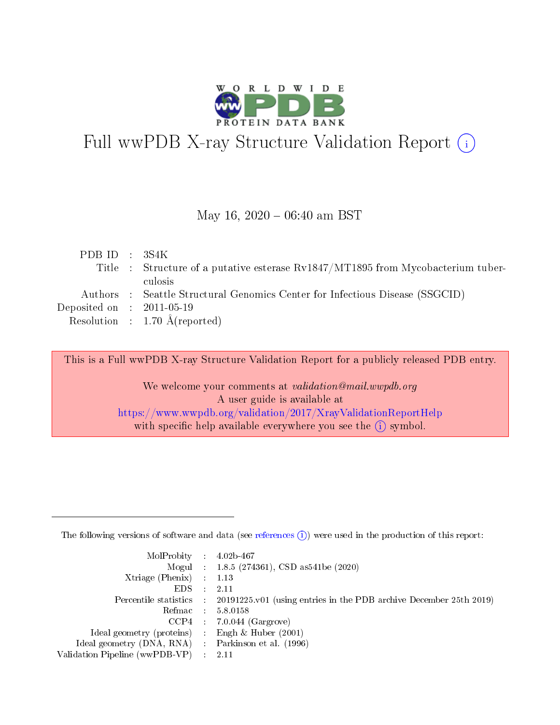

# Full wwPDB X-ray Structure Validation Report (i)

#### May 16,  $2020 - 06:40$  am BST

| PDB ID : $3S4K$             |                                                                                  |
|-----------------------------|----------------------------------------------------------------------------------|
|                             | Title : Structure of a putative esterase Rv1847/MT1895 from Mycobacterium tuber- |
|                             | culosis                                                                          |
|                             | Authors : Seattle Structural Genomics Center for Infectious Disease (SSGCID)     |
| Deposited on : $2011-05-19$ |                                                                                  |
|                             | Resolution : $1.70 \text{ Å}$ (reported)                                         |
|                             |                                                                                  |

This is a Full wwPDB X-ray Structure Validation Report for a publicly released PDB entry.

We welcome your comments at validation@mail.wwpdb.org A user guide is available at <https://www.wwpdb.org/validation/2017/XrayValidationReportHelp> with specific help available everywhere you see the  $(i)$  symbol.

The following versions of software and data (see [references](https://www.wwpdb.org/validation/2017/XrayValidationReportHelp#references)  $(1)$ ) were used in the production of this report:

| $MolProbability$ 4.02b-467                          |               |                                                                                            |
|-----------------------------------------------------|---------------|--------------------------------------------------------------------------------------------|
|                                                     |               | Mogul : 1.8.5 (274361), CSD as 541be (2020)                                                |
| Xtriage (Phenix) $: 1.13$                           |               |                                                                                            |
| EDS.                                                | $\mathcal{L}$ | -2.11                                                                                      |
|                                                     |               | Percentile statistics : 20191225.v01 (using entries in the PDB archive December 25th 2019) |
|                                                     |               | Refmac $5.8.0158$                                                                          |
| CCP4                                                |               | $7.0.044$ (Gargrove)                                                                       |
| Ideal geometry (proteins)                           | $\sim$        | Engh $\&$ Huber (2001)                                                                     |
| Ideal geometry (DNA, RNA) : Parkinson et al. (1996) |               |                                                                                            |
| Validation Pipeline (wwPDB-VP) : 2.11               |               |                                                                                            |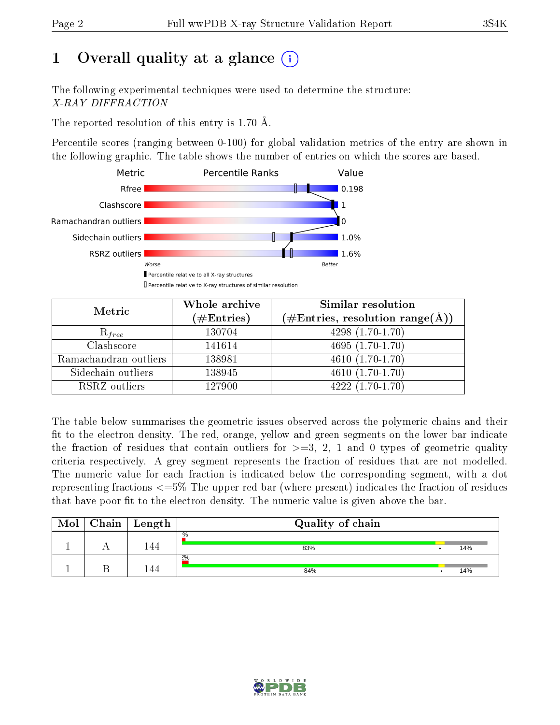# 1 [O](https://www.wwpdb.org/validation/2017/XrayValidationReportHelp#overall_quality)verall quality at a glance  $(i)$

The following experimental techniques were used to determine the structure: X-RAY DIFFRACTION

The reported resolution of this entry is 1.70 Å.

Percentile scores (ranging between 0-100) for global validation metrics of the entry are shown in the following graphic. The table shows the number of entries on which the scores are based.



| Metric                | Whole archive<br>$(\#\mathrm{Entries})$ | Similar resolution<br>$(\#\text{Entries}, \text{resolution range}(\text{\AA}))$ |
|-----------------------|-----------------------------------------|---------------------------------------------------------------------------------|
| $R_{free}$            | 130704                                  | $4298(1.70-1.70)$                                                               |
| Clashscore            | 141614                                  | $4695(1.70-1.70)$                                                               |
| Ramachandran outliers | 138981                                  | $\overline{4610(1.70-1.70)}$                                                    |
| Sidechain outliers    | 138945                                  | $4610(1.70-1.70)$                                                               |
| RSRZ outliers         | 127900                                  | $4222(1.70-1.70)$                                                               |

The table below summarises the geometric issues observed across the polymeric chains and their fit to the electron density. The red, orange, yellow and green segments on the lower bar indicate the fraction of residues that contain outliers for  $>=3, 2, 1$  and 0 types of geometric quality criteria respectively. A grey segment represents the fraction of residues that are not modelled. The numeric value for each fraction is indicated below the corresponding segment, with a dot representing fractions  $\epsilon=5\%$  The upper red bar (where present) indicates the fraction of residues that have poor fit to the electron density. The numeric value is given above the bar.

| Mol | Chain | Length | Quality of chain |     |
|-----|-------|--------|------------------|-----|
|     |       | 44     | $\%$<br>83%      | 14% |
|     |       | 44     | 2%<br>84%        | 14% |

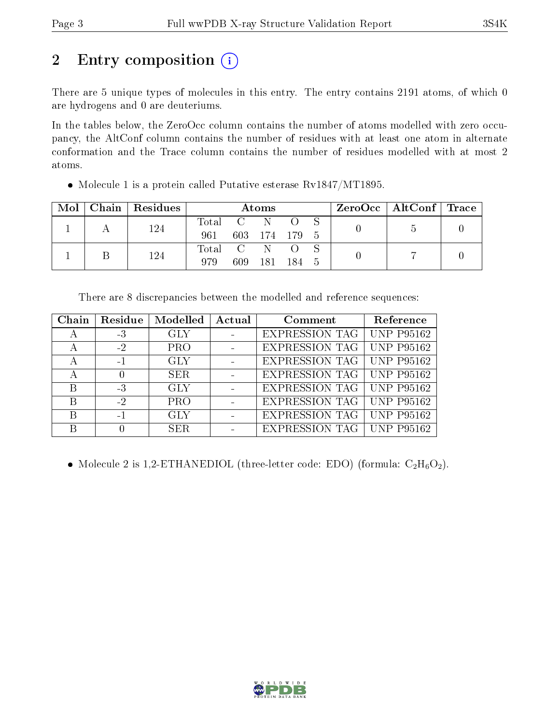# 2 Entry composition (i)

There are 5 unique types of molecules in this entry. The entry contains 2191 atoms, of which 0 are hydrogens and 0 are deuteriums.

In the tables below, the ZeroOcc column contains the number of atoms modelled with zero occupancy, the AltConf column contains the number of residues with at least one atom in alternate conformation and the Trace column contains the number of residues modelled with at most 2 atoms.

| Mol | Chain | $\mid$ Residues | Atoms         |               |         |  |  | $\rm ZeroOcc$   AltConf   Trace |  |
|-----|-------|-----------------|---------------|---------------|---------|--|--|---------------------------------|--|
|     |       |                 | Total C N O S |               |         |  |  |                                 |  |
|     | 124   | 961             |               | 603 174 179 5 |         |  |  |                                 |  |
|     |       | 124             | Total C N O   |               |         |  |  |                                 |  |
|     |       | 979             | 609 -         | - 181         | - 184 5 |  |  |                                 |  |

• Molecule 1 is a protein called Putative esterase Rv1847/MT1895.

There are 8 discrepancies between the modelled and reference sequences:

| Chain | Residue | Modelled   | Actual | Comment               | Reference         |
|-------|---------|------------|--------|-----------------------|-------------------|
| А     | $-3$    | <b>GLY</b> |        | <b>EXPRESSION TAG</b> | <b>UNP P95162</b> |
| А     | $-2$    | <b>PRO</b> |        | <b>EXPRESSION TAG</b> | <b>UNP P95162</b> |
| А     | $-1$    | <b>GLY</b> |        | <b>EXPRESSION TAG</b> | <b>UNP P95162</b> |
| А     |         | SER.       |        | <b>EXPRESSION TAG</b> | UNP $P95162$      |
| B     | $-3$    | <b>GLY</b> |        | <b>EXPRESSION TAG</b> | <b>UNP P95162</b> |
| B     | $-2$    | <b>PRO</b> |        | <b>EXPRESSION TAG</b> | <b>UNP P95162</b> |
| B     | $-1$    | GLY        |        | <b>EXPRESSION TAG</b> | <b>UNP P95162</b> |
| В     |         | SER.       |        | <b>EXPRESSION TAG</b> | <b>UNP P95162</b> |

• Molecule 2 is 1,2-ETHANEDIOL (three-letter code: EDO) (formula:  $C_2H_6O_2$ ).

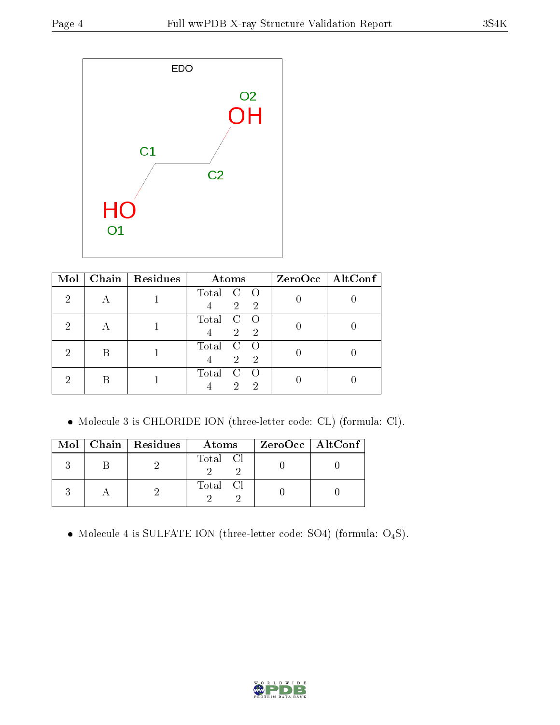

| Mol |   | Chain   Residues | Atoms                                                                       | ZeroOcc   AltConf |
|-----|---|------------------|-----------------------------------------------------------------------------|-------------------|
| 2   |   |                  | Total<br>$\mathbf{C}$<br>$\overline{O}$<br>$\overline{2}$<br>$\overline{2}$ |                   |
| 2   | A |                  | Total<br>$\mathcal{C}$<br>$\overline{2}$<br>$\overline{\phantom{1}}^2$      |                   |
| 2   | В |                  | Total<br>C<br>$\overline{2}$<br>$\overline{2}$                              |                   |
| 2   | B |                  | Total<br>C<br>$\mathcal{D}$<br>-2                                           |                   |

Molecule 3 is CHLORIDE ION (three-letter code: CL) (formula: Cl).

| Mol | $Chain   Residues$ | Atoms    | ZeroOcc   AltConf |
|-----|--------------------|----------|-------------------|
|     |                    | Total Cl |                   |
|     |                    | Total Cl |                   |

 $\bullet$  Molecule 4 is SULFATE ION (three-letter code: SO4) (formula:  $\mathrm{O}_4\mathrm{S}) .$ 

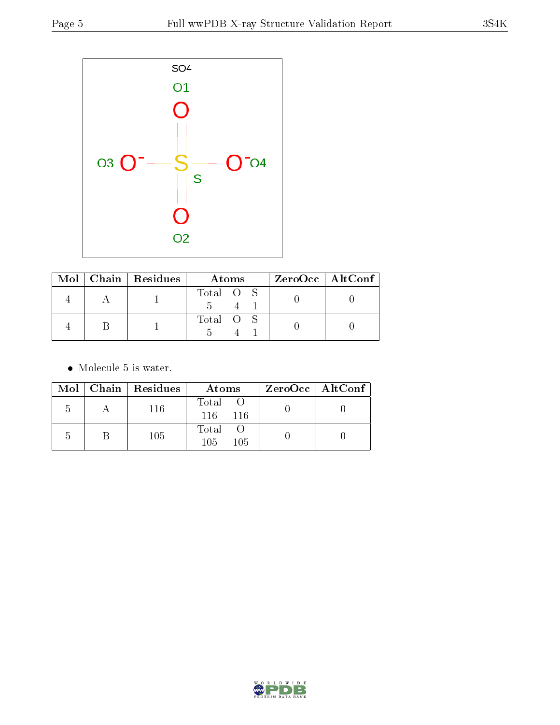

|  | Mol   Chain   Residues | Atoms     | $ZeroOcc \   \$ AltConf |
|--|------------------------|-----------|-------------------------|
|  |                        | Total O S |                         |
|  |                        | Total O S |                         |

• Molecule 5 is water.

|                | $Mol$   Chain   Residues | Atoms                | $ZeroOcc \mid AltConf \mid$ |
|----------------|--------------------------|----------------------|-----------------------------|
| $\mathcal{D}$  | 116                      | Total<br>116<br>-116 |                             |
| $\overline{ }$ | 105                      | Total<br>105.<br>105 |                             |

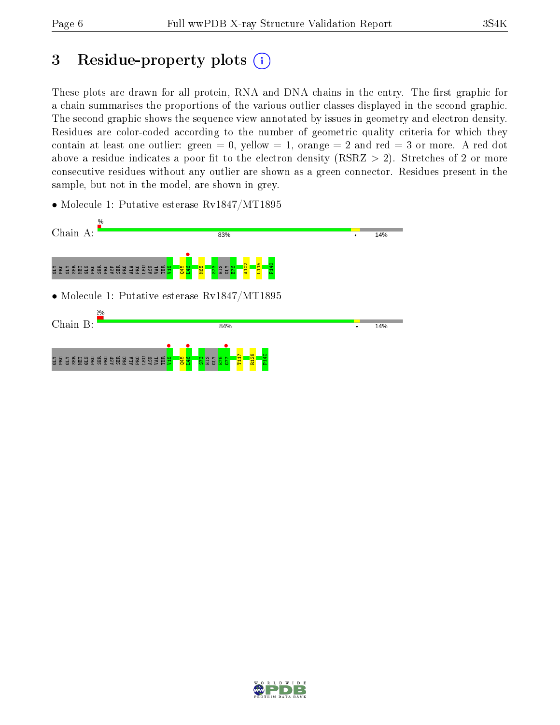# 3 Residue-property plots  $(i)$

These plots are drawn for all protein, RNA and DNA chains in the entry. The first graphic for a chain summarises the proportions of the various outlier classes displayed in the second graphic. The second graphic shows the sequence view annotated by issues in geometry and electron density. Residues are color-coded according to the number of geometric quality criteria for which they contain at least one outlier: green  $= 0$ , yellow  $= 1$ , orange  $= 2$  and red  $= 3$  or more. A red dot above a residue indicates a poor fit to the electron density (RSRZ  $> 2$ ). Stretches of 2 or more consecutive residues without any outlier are shown as a green connector. Residues present in the sample, but not in the model, are shown in grey.

• Molecule 1: Putative esterase Rv1847/MT1895



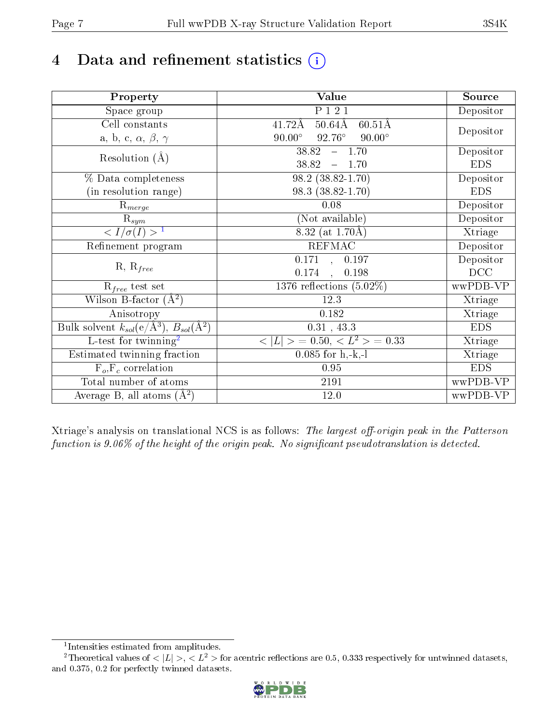# 4 Data and refinement statistics  $(i)$

| Property                                                             | Value                                            | Source     |
|----------------------------------------------------------------------|--------------------------------------------------|------------|
| Space group                                                          | P 1 2 1                                          | Depositor  |
| Cell constants                                                       | $50.64\text{\AA}$<br>41.72Å<br>$60.51\text{\AA}$ |            |
| a, b, c, $\alpha$ , $\beta$ , $\gamma$                               | $90.00^\circ$<br>$92.76^\circ$<br>$90.00^\circ$  | Depositor  |
| Resolution $(A)$                                                     | 38.82<br>$-1.70$                                 | Depositor  |
|                                                                      | 38.82<br>$-1.70$                                 | <b>EDS</b> |
| % Data completeness                                                  | $98.2(38.82 - 1.70)$                             | Depositor  |
| (in resolution range)                                                | 98.3 (38.82-1.70)                                | <b>EDS</b> |
| $\mathrm{R}_{merge}$                                                 | 0.08                                             | Depositor  |
| $\mathrm{R}_{sym}$                                                   | (Not available)                                  | Depositor  |
| $\langle I/\sigma(I) \rangle$ <sup>1</sup>                           | 8.32 (at $1.70\text{\AA}$ )                      | Xtriage    |
| Refinement program                                                   | <b>REFMAC</b>                                    | Depositor  |
|                                                                      | $\overline{0.171}$ ,<br>0.197                    | Depositor  |
| $R, R_{free}$                                                        | 0.174<br>0.198<br>$\frac{1}{2}$                  | DCC        |
| $R_{free}$ test set                                                  | 1376 reflections $(5.02\%)$                      | wwPDB-VP   |
| Wilson B-factor $(A^2)$                                              | 12.3                                             | Xtriage    |
| Anisotropy                                                           | 0.182                                            | Xtriage    |
| Bulk solvent $k_{sol}(e/\mathring{A}^3)$ , $B_{sol}(\mathring{A}^2)$ | $0.31$ , 43.3                                    | <b>EDS</b> |
| $L$ -test for twinning <sup>2</sup>                                  | $< L >$ = 0.50, $< L2$ = 0.33                    | Xtriage    |
| Estimated twinning fraction                                          | $0.085$ for $h, -k, -l$                          | Xtriage    |
| $F_o, F_c$ correlation                                               | 0.95                                             | <b>EDS</b> |
| Total number of atoms                                                | 2191                                             | wwPDB-VP   |
| Average B, all atoms $(A^2)$                                         | 12.0                                             | wwPDB-VP   |

Xtriage's analysis on translational NCS is as follows: The largest off-origin peak in the Patterson function is  $9.06\%$  of the height of the origin peak. No significant pseudotranslation is detected.

<sup>&</sup>lt;sup>2</sup>Theoretical values of  $\langle |L| \rangle$ ,  $\langle L^2 \rangle$  for acentric reflections are 0.5, 0.333 respectively for untwinned datasets, and 0.375, 0.2 for perfectly twinned datasets.



<span id="page-6-1"></span><span id="page-6-0"></span><sup>1</sup> Intensities estimated from amplitudes.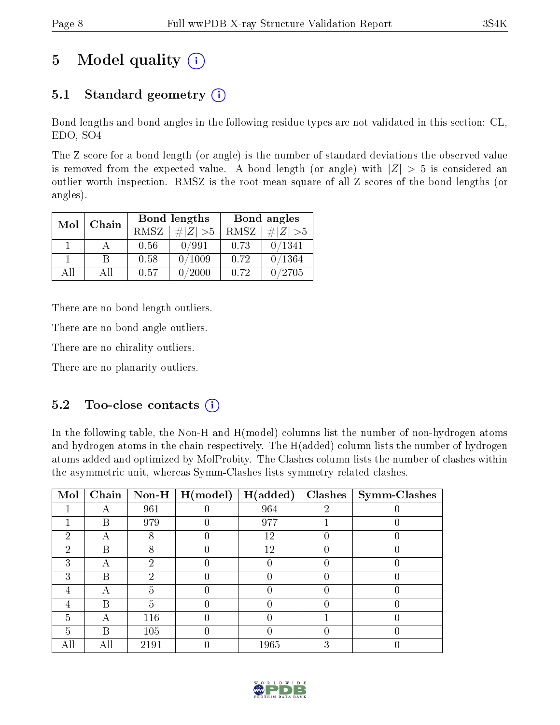# 5 Model quality  $(i)$

### 5.1 Standard geometry  $(i)$

Bond lengths and bond angles in the following residue types are not validated in this section: CL, EDO, SO4

The Z score for a bond length (or angle) is the number of standard deviations the observed value is removed from the expected value. A bond length (or angle) with  $|Z| > 5$  is considered an outlier worth inspection. RMSZ is the root-mean-square of all Z scores of the bond lengths (or angles).

| Mol | Chain |      | Bond lengths | Bond angles |             |  |
|-----|-------|------|--------------|-------------|-------------|--|
|     |       | RMSZ | $\# Z  > 5$  | RMSZ        | $\# Z  > 5$ |  |
|     |       | 0.56 | 0/991        | 0.73        | 0/1341      |  |
|     | R     | 0.58 | 0/1009       | 0.72        | 0/1364      |  |
| АH  | Аll   | 0.57 | 0/2000       | 0.72        | 0/2705      |  |

There are no bond length outliers.

There are no bond angle outliers.

There are no chirality outliers.

There are no planarity outliers.

#### $5.2$  Too-close contacts  $\overline{()}$

In the following table, the Non-H and H(model) columns list the number of non-hydrogen atoms and hydrogen atoms in the chain respectively. The H(added) column lists the number of hydrogen atoms added and optimized by MolProbity. The Clashes column lists the number of clashes within the asymmetric unit, whereas Symm-Clashes lists symmetry related clashes.

| Mol           | Chain |      | $\vert$ Non-H $\vert$ H(model) | H(added) | Clashes | $\mid$ Symm-Clashes |
|---------------|-------|------|--------------------------------|----------|---------|---------------------|
|               |       | 961  |                                | 964      | റ       |                     |
|               | В     | 979  |                                | 977      |         |                     |
| 2             |       |      |                                | 12       |         |                     |
| $\mathcal{D}$ | В     |      |                                | 12       |         |                     |
| 3             |       | ച    |                                |          |         |                     |
| 3             | В     | ച    |                                |          |         |                     |
| 4             |       | h.   |                                |          |         |                     |
|               | B     | .h   |                                |          |         |                     |
| 5             |       | 116  |                                |          |         |                     |
| 5             | В     | 105  |                                |          |         |                     |
|               | All   | 2191 |                                | 1965     |         |                     |

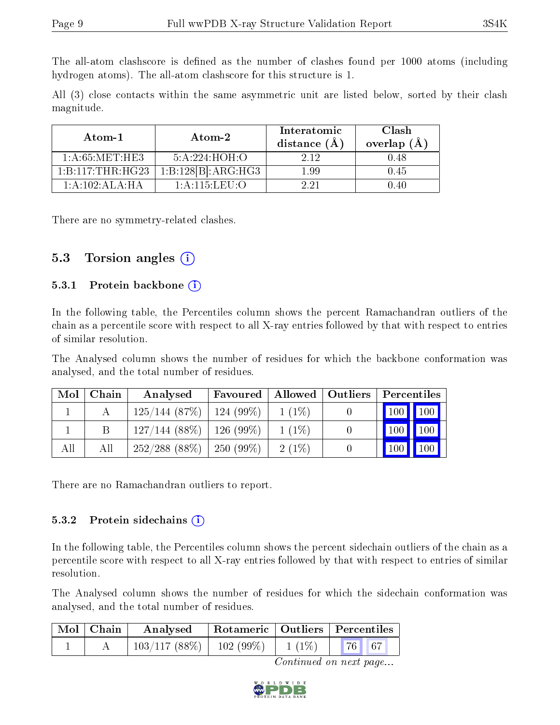The all-atom clashscore is defined as the number of clashes found per 1000 atoms (including hydrogen atoms). The all-atom clashscore for this structure is 1.

All (3) close contacts within the same asymmetric unit are listed below, sorted by their clash magnitude.

| Atom-1                   | Atom-2                   | Interatomic<br>distance $(\AA)$ | Clash<br>overlap $(A)$ |  |
|--------------------------|--------------------------|---------------------------------|------------------------|--|
| $1:$ A $:$ 65: MET: HE3. | 5:A:224:HOH:O            | 2.12                            | 1.48                   |  |
| 1:B:117:THR:HG23         | 1:B:128[B]:ARG:HG3       | 1.99                            | 0.45                   |  |
| 1: A : 10 2: A L A : H A | $1:$ A $:115:$ LEU $:$ O | າ າາ                            | 14C                    |  |

There are no symmetry-related clashes.

#### 5.3 Torsion angles  $(i)$

#### 5.3.1 Protein backbone  $(i)$

In the following table, the Percentiles column shows the percent Ramachandran outliers of the chain as a percentile score with respect to all X-ray entries followed by that with respect to entries of similar resolution.

The Analysed column shows the number of residues for which the backbone conformation was analysed, and the total number of residues.

| Mol | Chain | Analysed                      | Favoured   Allowed   Outliers |          | Percentiles                     |           |
|-----|-------|-------------------------------|-------------------------------|----------|---------------------------------|-----------|
|     |       | 125/144(87%)                  | $124(99\%)$                   | $1(1\%)$ | 100 100                         |           |
|     |       | $127/144$ (88\%)   126 (99\%) |                               | $1(1\%)$ | $\vert$ 100 $\vert$ 100 $\vert$ |           |
| All | All   | 252/288(88%)                  | $250(99\%)$                   | $2(1\%)$ |                                 | 100   100 |

There are no Ramachandran outliers to report.

#### 5.3.2 Protein sidechains  $(i)$

In the following table, the Percentiles column shows the percent sidechain outliers of the chain as a percentile score with respect to all X-ray entries followed by that with respect to entries of similar resolution.

The Analysed column shows the number of residues for which the sidechain conformation was analysed, and the total number of residues.

| $\mid$ Mol $\mid$ Chain $\mid$ | Analysed                                | Rotameric   Outliers   Percentiles |                           |  |
|--------------------------------|-----------------------------------------|------------------------------------|---------------------------|--|
|                                | $103/117$ (88\%)   102 (99\%)   1 (1\%) |                                    | $\vert 76 \vert \vert 67$ |  |

Continued on next page...

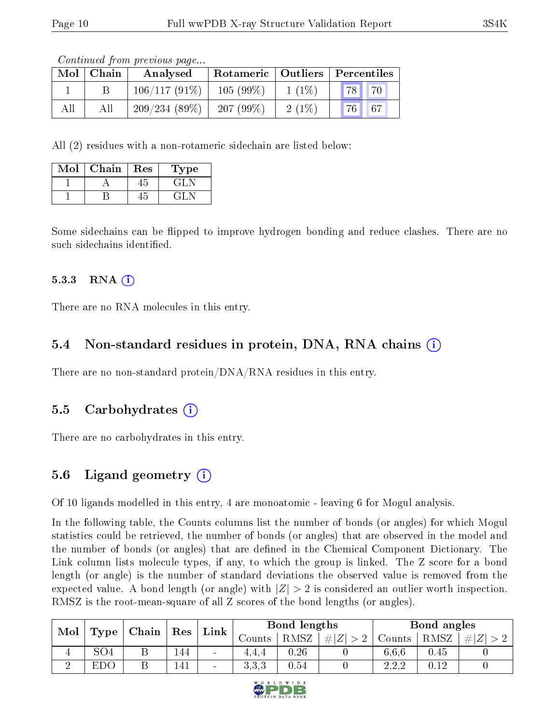Continued from previous page...

| Mol | $\mid$ Chain | Analysed        | Rotameric   Outliers   Percentiles |          |                                   |
|-----|--------------|-----------------|------------------------------------|----------|-----------------------------------|
|     |              | $106/117(91\%)$ | $105(99\%)$                        | $1(1\%)$ | $\vert 78 \vert$ $\vert 70 \vert$ |
|     | All          | 209/234(89%)    | 207(99%)                           | $2(1\%)$ | $\vert 76 \vert \vert 67$         |

All (2) residues with a non-rotameric sidechain are listed below:

| Mol | Chain | Res | Type   |
|-----|-------|-----|--------|
|     |       |     | ، الخب |
|     |       |     |        |

Some sidechains can be flipped to improve hydrogen bonding and reduce clashes. There are no such sidechains identified.

#### 5.3.3 RNA  $(i)$

There are no RNA molecules in this entry.

### 5.4 Non-standard residues in protein, DNA, RNA chains (i)

There are no non-standard protein/DNA/RNA residues in this entry.

#### 5.5 Carbohydrates (i)

There are no carbohydrates in this entry.

### 5.6 Ligand geometry  $(i)$

Of 10 ligands modelled in this entry, 4 are monoatomic - leaving 6 for Mogul analysis.

In the following table, the Counts columns list the number of bonds (or angles) for which Mogul statistics could be retrieved, the number of bonds (or angles) that are observed in the model and the number of bonds (or angles) that are dened in the Chemical Component Dictionary. The Link column lists molecule types, if any, to which the group is linked. The Z score for a bond length (or angle) is the number of standard deviations the observed value is removed from the expected value. A bond length (or angle) with  $|Z| > 2$  is considered an outlier worth inspection. RMSZ is the root-mean-square of all Z scores of the bond lengths (or angles).

| Mol | Type            | $\mid$ Chain | Res | $\mathop{\rm Link}\nolimits$ | Bond lengths   |      |         | Bond angles   |          |  |
|-----|-----------------|--------------|-----|------------------------------|----------------|------|---------|---------------|----------|--|
|     |                 |              |     |                              | Counts         | RMSZ | $\# Z $ | Counts        | RMSZ     |  |
| 4   | SO <sub>4</sub> | ◡            | 144 | $\overline{\phantom{a}}$     | 4.4.4          | 0.26 |         | 6,6,6         | 0.45     |  |
|     | EDC             |              | 41  | $\sim$                       | າ າ າ<br>U.U.U | 0.54 |         | റററ<br>ے کہ ک | $0.12\,$ |  |

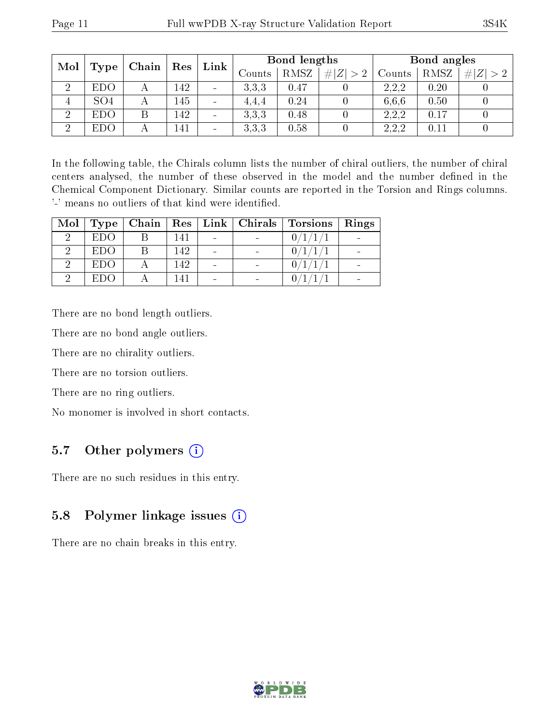| Mol<br>Type |                 | Chain | ${\mathop{\mathrm{Res}}\nolimits}$ | Link                     | Bond lengths |      |             | Bond angles |      |             |
|-------------|-----------------|-------|------------------------------------|--------------------------|--------------|------|-------------|-------------|------|-------------|
|             |                 |       |                                    |                          | Counts       | RMSZ | # $ Z  > 2$ | Counts      | RMSZ | # $ Z  > 2$ |
| 2           | <b>EDO</b>      |       | 142                                | $\overline{\phantom{a}}$ | 3.3.3        | 0.47 |             | 2.2.2       | 0.20 |             |
| 4           | SO <sub>4</sub> |       | 145                                | $\overline{\phantom{a}}$ | 4.4.4        | 0.24 |             | 6.6.6       | 0.50 |             |
| $\Omega$    | <b>EDO</b>      |       | 142                                | $\overline{\phantom{a}}$ | 3.3.3        | 0.48 |             | 2.2.2       | 0.17 |             |
| ച           | <b>EDO</b>      |       | 141                                | $\overline{\phantom{a}}$ | 3.3.3        | 0.58 |             | 2,2,2       | 0.11 |             |

In the following table, the Chirals column lists the number of chiral outliers, the number of chiral centers analysed, the number of these observed in the model and the number defined in the Chemical Component Dictionary. Similar counts are reported in the Torsion and Rings columns. '-' means no outliers of that kind were identified.

| Mol | Type | $\mid$ Chain $\mid$ Res $\mid$ |     |  | $\mid$ Link $\mid$ Chirals $\mid$ Torsions | Rings |
|-----|------|--------------------------------|-----|--|--------------------------------------------|-------|
|     | EDO  |                                | 41  |  |                                            |       |
|     | EDO  |                                | 142 |  |                                            |       |
|     | EDO  |                                | 142 |  |                                            |       |
|     | EDC  |                                |     |  |                                            |       |

There are no bond length outliers.

There are no bond angle outliers.

There are no chirality outliers.

There are no torsion outliers.

There are no ring outliers.

No monomer is involved in short contacts.

### 5.7 [O](https://www.wwpdb.org/validation/2017/XrayValidationReportHelp#nonstandard_residues_and_ligands)ther polymers (i)

There are no such residues in this entry.

#### 5.8 Polymer linkage issues (i)

There are no chain breaks in this entry.

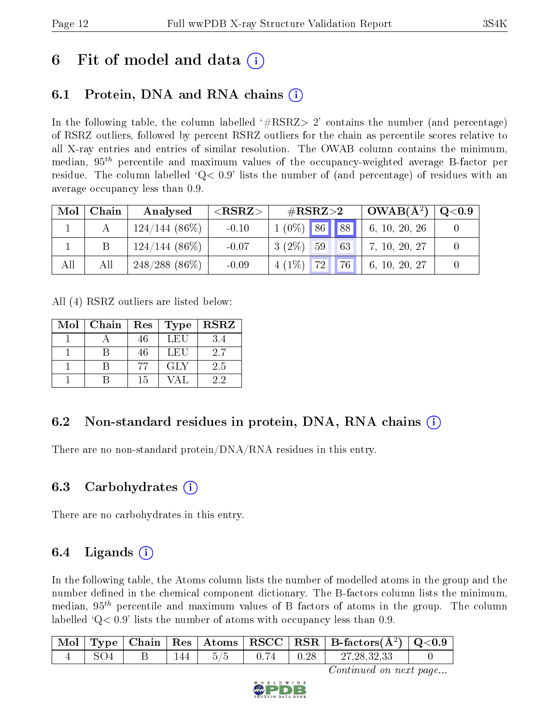## 6 Fit of model and data  $\left( \cdot \right)$

### 6.1 Protein, DNA and RNA chains (i)

In the following table, the column labelled  $#RSRZ>2'$  contains the number (and percentage) of RSRZ outliers, followed by percent RSRZ outliers for the chain as percentile scores relative to all X-ray entries and entries of similar resolution. The OWAB column contains the minimum, median,  $95<sup>th</sup>$  percentile and maximum values of the occupancy-weighted average B-factor per residue. The column labelled  $Q< 0.9$  lists the number of (and percentage) of residues with an average occupancy less than 0.9.

| Mol | Chain | Analysed        | ${ <\hspace{-1.5pt}{\mathrm{RSRZ}} \hspace{-1.5pt}>}$ | $\#\text{RSRZ}\text{>2}$      | $OWAB(A^2)$   | $\mathrm{Q}{<}0.9$ |
|-----|-------|-----------------|-------------------------------------------------------|-------------------------------|---------------|--------------------|
|     |       | $124/144(86\%)$ | $-0.10$                                               | $1(0\%)$ 86 88                | 6, 10, 20, 26 |                    |
|     |       | $124/144(86\%)$ | $-0.07$                                               | $3(2\%)$<br>63<br>$\sqrt{59}$ | 7, 10, 20, 27 |                    |
| All | All   | $248/288(86\%)$ | $-0.09$                                               | 76<br>$1(1\%)$<br> 72         | 6, 10, 20, 27 |                    |

All (4) RSRZ outliers are listed below:

| Mol | Chain | Res | <b>Type</b> | <b>RSRZ</b> |
|-----|-------|-----|-------------|-------------|
|     |       | 46  | <b>LEU</b>  | 3.4         |
|     |       | 46  | LEU         | 2.7         |
|     |       | 77  | GLY         | 2.5         |
|     |       | 15  |             | 22          |

### 6.2 Non-standard residues in protein, DNA, RNA chains (i)

There are no non-standard protein/DNA/RNA residues in this entry.

### 6.3 Carbohydrates (i)

There are no carbohydrates in this entry.

### $6.4$  Ligands  $(i)$

In the following table, the Atoms column lists the number of modelled atoms in the group and the number defined in the chemical component dictionary. The B-factors column lists the minimum, median,  $95<sup>th</sup>$  percentile and maximum values of B factors of atoms in the group. The column labelled  $Q< 0.9$  lists the number of atoms with occupancy less than 0.9.

|  |     |     |      |                  | $\mid$ Mol $\mid$ Type $\mid$ Chain $\mid$ Res $\mid$ Atoms $\mid$ RSCC $\mid$ RSR $\mid$ B-factors(A <sup>2</sup> ) $\mid$ Q<0.9 |  |
|--|-----|-----|------|------------------|-----------------------------------------------------------------------------------------------------------------------------------|--|
|  | 144 | 5/5 | 0.74 | $\parallel$ 0.28 | 27,28,32,33                                                                                                                       |  |

Continued on next page...